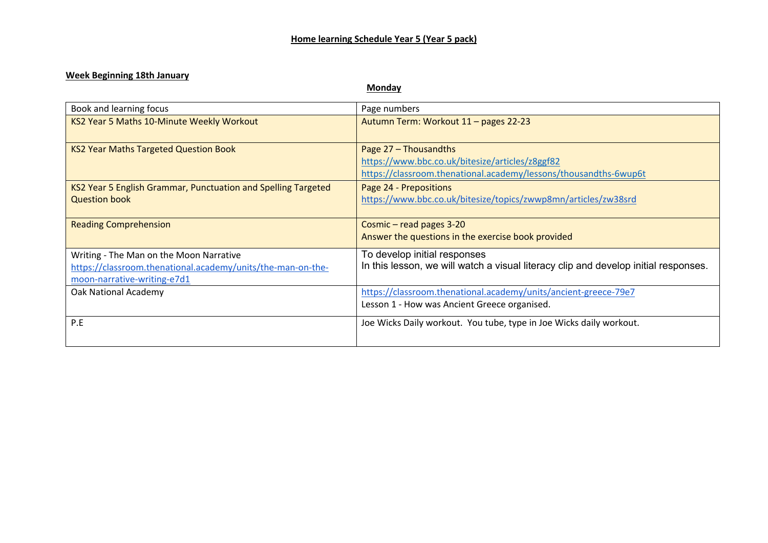### **Week Beginning 18th January**

**Monday**

| Book and learning focus                                       | Page numbers                                                                        |
|---------------------------------------------------------------|-------------------------------------------------------------------------------------|
| KS2 Year 5 Maths 10-Minute Weekly Workout                     | Autumn Term: Workout 11 - pages 22-23                                               |
| <b>KS2 Year Maths Targeted Question Book</b>                  | Page 27 - Thousandths                                                               |
|                                                               | https://www.bbc.co.uk/bitesize/articles/z8ggf82                                     |
|                                                               | https://classroom.thenational.academy/lessons/thousandths-6wup6t                    |
| KS2 Year 5 English Grammar, Punctuation and Spelling Targeted | Page 24 - Prepositions                                                              |
| <b>Question book</b>                                          | https://www.bbc.co.uk/bitesize/topics/zwwp8mn/articles/zw38srd                      |
|                                                               |                                                                                     |
| <b>Reading Comprehension</b>                                  | Cosmic - read pages 3-20                                                            |
|                                                               | Answer the questions in the exercise book provided                                  |
| Writing - The Man on the Moon Narrative                       | To develop initial responses                                                        |
| https://classroom.thenational.academy/units/the-man-on-the-   | In this lesson, we will watch a visual literacy clip and develop initial responses. |
|                                                               |                                                                                     |
| moon-narrative-writing-e7d1                                   |                                                                                     |
| Oak National Academy                                          | https://classroom.thenational.academy/units/ancient-greece-79e7                     |
|                                                               | Lesson 1 - How was Ancient Greece organised.                                        |
| P.E                                                           | Joe Wicks Daily workout. You tube, type in Joe Wicks daily workout.                 |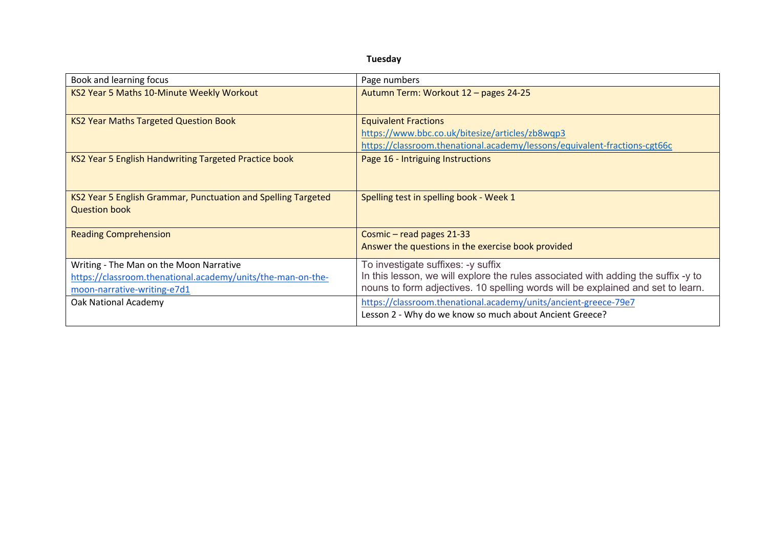| Book and learning focus                                                                    | Page numbers                                                                                                                                                         |
|--------------------------------------------------------------------------------------------|----------------------------------------------------------------------------------------------------------------------------------------------------------------------|
| KS2 Year 5 Maths 10-Minute Weekly Workout                                                  | Autumn Term: Workout 12 - pages 24-25                                                                                                                                |
| <b>KS2 Year Maths Targeted Question Book</b>                                               | <b>Equivalent Fractions</b>                                                                                                                                          |
|                                                                                            | https://www.bbc.co.uk/bitesize/articles/zb8wqp3                                                                                                                      |
|                                                                                            | https://classroom.thenational.academy/lessons/equivalent-fractions-cgt66c                                                                                            |
| KS2 Year 5 English Handwriting Targeted Practice book                                      | Page 16 - Intriguing Instructions                                                                                                                                    |
| KS2 Year 5 English Grammar, Punctuation and Spelling Targeted<br><b>Question book</b>      | Spelling test in spelling book - Week 1                                                                                                                              |
| <b>Reading Comprehension</b>                                                               | Cosmic - read pages 21-33<br>Answer the questions in the exercise book provided                                                                                      |
| Writing - The Man on the Moon Narrative                                                    | To investigate suffixes: -y suffix                                                                                                                                   |
| https://classroom.thenational.academy/units/the-man-on-the-<br>moon-narrative-writing-e7d1 | In this lesson, we will explore the rules associated with adding the suffix -y to<br>nouns to form adjectives. 10 spelling words will be explained and set to learn. |
|                                                                                            |                                                                                                                                                                      |
| Oak National Academy                                                                       | https://classroom.thenational.academy/units/ancient-greece-79e7                                                                                                      |
|                                                                                            | Lesson 2 - Why do we know so much about Ancient Greece?                                                                                                              |

**Tuesday**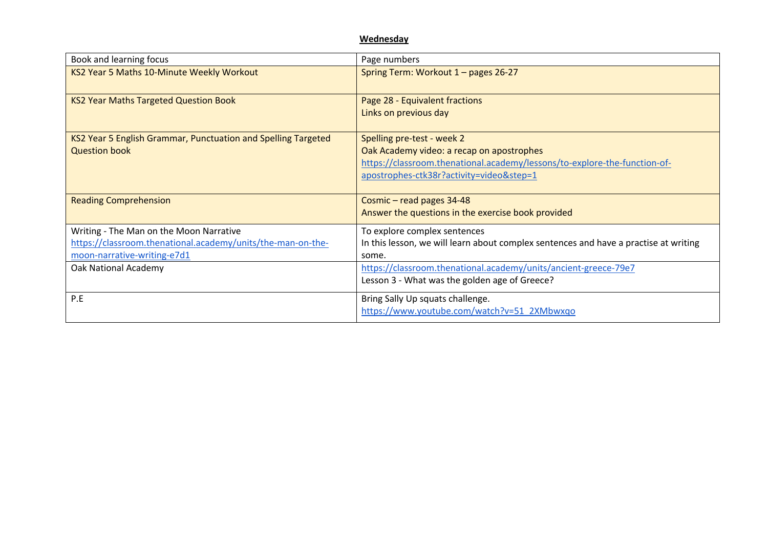### **Wednesday**

| Book and learning focus                                                                                                               | Page numbers                                                                                                                                                                                     |
|---------------------------------------------------------------------------------------------------------------------------------------|--------------------------------------------------------------------------------------------------------------------------------------------------------------------------------------------------|
| KS2 Year 5 Maths 10-Minute Weekly Workout                                                                                             | Spring Term: Workout 1 - pages 26-27                                                                                                                                                             |
| <b>KS2 Year Maths Targeted Question Book</b>                                                                                          | Page 28 - Equivalent fractions<br>Links on previous day                                                                                                                                          |
| KS2 Year 5 English Grammar, Punctuation and Spelling Targeted<br><b>Question book</b>                                                 | Spelling pre-test - week 2<br>Oak Academy video: a recap on apostrophes<br>https://classroom.thenational.academy/lessons/to-explore-the-function-of-<br>apostrophes-ctk38r?activity=video&step=1 |
| <b>Reading Comprehension</b>                                                                                                          | Cosmic - read pages 34-48<br>Answer the questions in the exercise book provided                                                                                                                  |
| Writing - The Man on the Moon Narrative<br>https://classroom.thenational.academy/units/the-man-on-the-<br>moon-narrative-writing-e7d1 | To explore complex sentences<br>In this lesson, we will learn about complex sentences and have a practise at writing<br>some.                                                                    |
| Oak National Academy                                                                                                                  | https://classroom.thenational.academy/units/ancient-greece-79e7<br>Lesson 3 - What was the golden age of Greece?                                                                                 |
| P.E                                                                                                                                   | Bring Sally Up squats challenge.<br>https://www.youtube.com/watch?v=51_2XMbwxqo                                                                                                                  |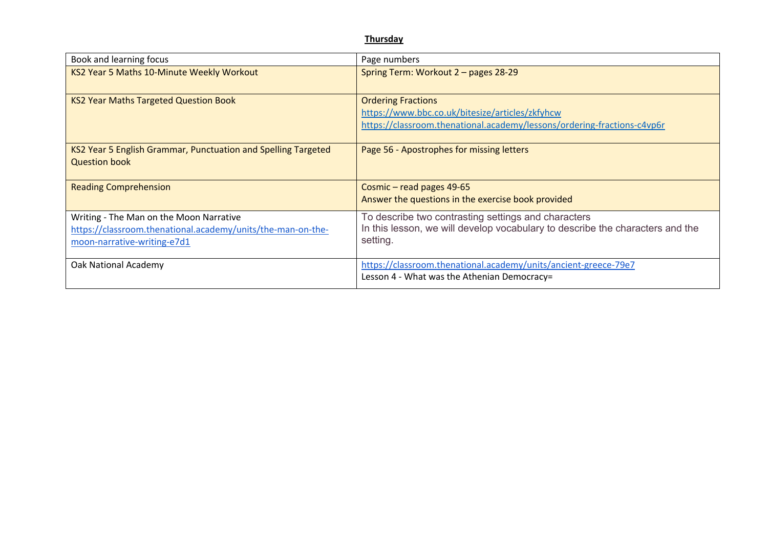### **Thursday**

| Book and learning focus                                                                                                               | Page numbers                                                                                                                                            |
|---------------------------------------------------------------------------------------------------------------------------------------|---------------------------------------------------------------------------------------------------------------------------------------------------------|
| KS2 Year 5 Maths 10-Minute Weekly Workout                                                                                             | Spring Term: Workout 2 - pages 28-29                                                                                                                    |
| <b>KS2 Year Maths Targeted Question Book</b>                                                                                          | <b>Ordering Fractions</b><br>https://www.bbc.co.uk/bitesize/articles/zkfyhcw<br>https://classroom.thenational.academy/lessons/ordering-fractions-c4vp6r |
| KS2 Year 5 English Grammar, Punctuation and Spelling Targeted<br><b>Question book</b>                                                 | Page 56 - Apostrophes for missing letters                                                                                                               |
| <b>Reading Comprehension</b>                                                                                                          | Cosmic – read pages 49-65<br>Answer the questions in the exercise book provided                                                                         |
| Writing - The Man on the Moon Narrative<br>https://classroom.thenational.academy/units/the-man-on-the-<br>moon-narrative-writing-e7d1 | To describe two contrasting settings and characters<br>In this lesson, we will develop vocabulary to describe the characters and the<br>setting.        |
| Oak National Academy                                                                                                                  | https://classroom.thenational.academy/units/ancient-greece-79e7<br>Lesson 4 - What was the Athenian Democracy=                                          |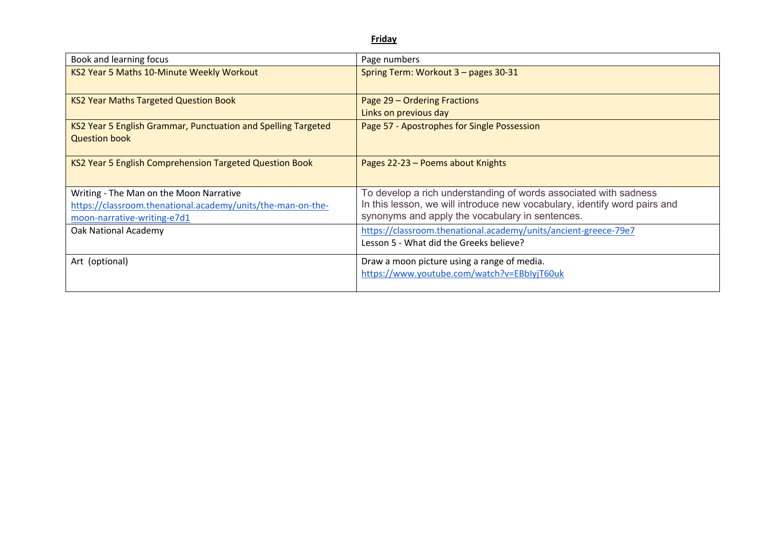**Friday**

| Page numbers                                                              |
|---------------------------------------------------------------------------|
| Spring Term: Workout 3 - pages 30-31                                      |
| Page 29 – Ordering Fractions                                              |
| Links on previous day                                                     |
| Page 57 - Apostrophes for Single Possession                               |
|                                                                           |
| Pages 22-23 - Poems about Knights                                         |
| To develop a rich understanding of words associated with sadness          |
| In this lesson, we will introduce new vocabulary, identify word pairs and |
| synonyms and apply the vocabulary in sentences.                           |
| https://classroom.thenational.academy/units/ancient-greece-79e7           |
| Lesson 5 - What did the Greeks believe?                                   |
| Draw a moon picture using a range of media.                               |
| https://www.youtube.com/watch?v=EBbIyjT60uk                               |
|                                                                           |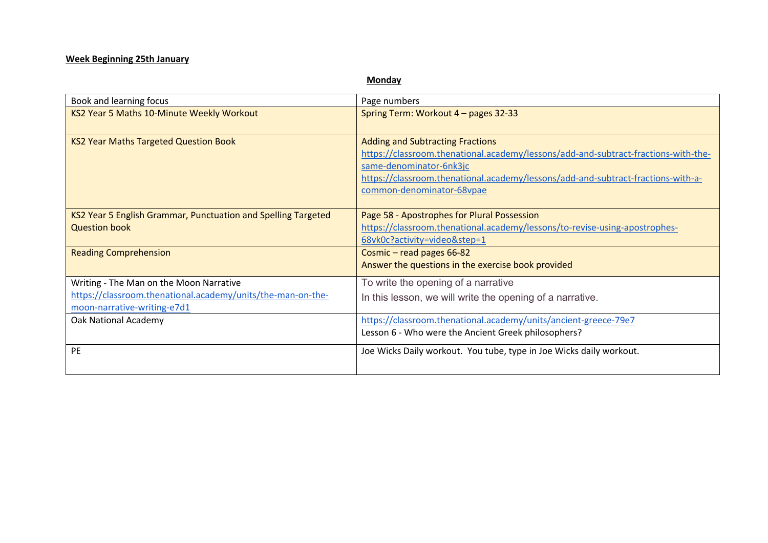# **Week Beginning 25th January**

## **Monday**

| Book and learning focus                                                                    | Page numbers                                                                                                                                                                                                                                                              |
|--------------------------------------------------------------------------------------------|---------------------------------------------------------------------------------------------------------------------------------------------------------------------------------------------------------------------------------------------------------------------------|
| KS2 Year 5 Maths 10-Minute Weekly Workout                                                  | Spring Term: Workout 4 - pages 32-33                                                                                                                                                                                                                                      |
| <b>KS2 Year Maths Targeted Question Book</b>                                               | <b>Adding and Subtracting Fractions</b><br>https://classroom.thenational.academy/lessons/add-and-subtract-fractions-with-the-<br>same-denominator-6nk3jc<br>https://classroom.thenational.academy/lessons/add-and-subtract-fractions-with-a-<br>common-denominator-68vpae |
| KS2 Year 5 English Grammar, Punctuation and Spelling Targeted<br><b>Question book</b>      | Page 58 - Apostrophes for Plural Possession<br>https://classroom.thenational.academy/lessons/to-revise-using-apostrophes-<br>68vk0c?activity=video&step=1                                                                                                                 |
| <b>Reading Comprehension</b>                                                               | Cosmic - read pages 66-82<br>Answer the questions in the exercise book provided                                                                                                                                                                                           |
| Writing - The Man on the Moon Narrative                                                    | To write the opening of a narrative                                                                                                                                                                                                                                       |
| https://classroom.thenational.academy/units/the-man-on-the-<br>moon-narrative-writing-e7d1 | In this lesson, we will write the opening of a narrative.                                                                                                                                                                                                                 |
| Oak National Academy                                                                       | https://classroom.thenational.academy/units/ancient-greece-79e7                                                                                                                                                                                                           |
|                                                                                            | Lesson 6 - Who were the Ancient Greek philosophers?                                                                                                                                                                                                                       |
| PE                                                                                         | Joe Wicks Daily workout. You tube, type in Joe Wicks daily workout.                                                                                                                                                                                                       |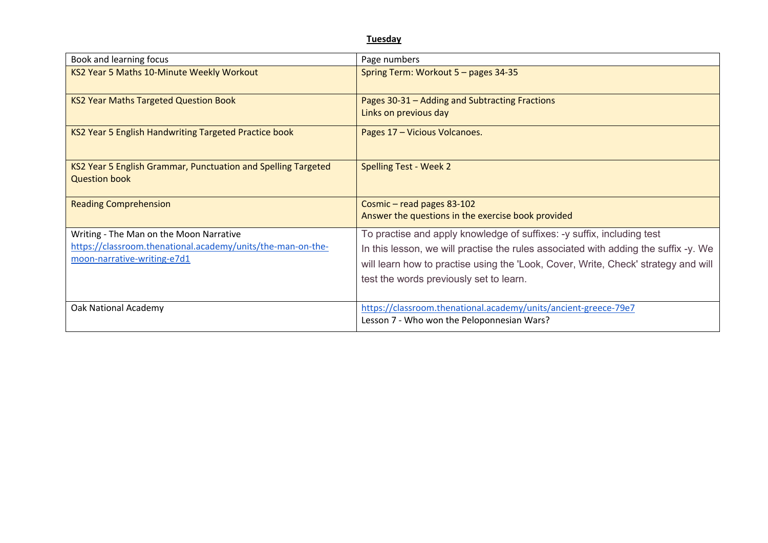### **Tuesday**

| Book and learning focus                                                                                                               | Page numbers                                                                                                                                                                                                                                                                                   |
|---------------------------------------------------------------------------------------------------------------------------------------|------------------------------------------------------------------------------------------------------------------------------------------------------------------------------------------------------------------------------------------------------------------------------------------------|
| KS2 Year 5 Maths 10-Minute Weekly Workout                                                                                             | Spring Term: Workout 5 - pages 34-35                                                                                                                                                                                                                                                           |
| <b>KS2 Year Maths Targeted Question Book</b>                                                                                          | Pages 30-31 - Adding and Subtracting Fractions<br>Links on previous day                                                                                                                                                                                                                        |
| KS2 Year 5 English Handwriting Targeted Practice book                                                                                 | Pages 17 - Vicious Volcanoes.                                                                                                                                                                                                                                                                  |
| KS2 Year 5 English Grammar, Punctuation and Spelling Targeted<br><b>Question book</b>                                                 | <b>Spelling Test - Week 2</b>                                                                                                                                                                                                                                                                  |
| <b>Reading Comprehension</b>                                                                                                          | Cosmic - read pages 83-102<br>Answer the questions in the exercise book provided                                                                                                                                                                                                               |
| Writing - The Man on the Moon Narrative<br>https://classroom.thenational.academy/units/the-man-on-the-<br>moon-narrative-writing-e7d1 | To practise and apply knowledge of suffixes: -y suffix, including test<br>In this lesson, we will practise the rules associated with adding the suffix -y. We<br>will learn how to practise using the 'Look, Cover, Write, Check' strategy and will<br>test the words previously set to learn. |
| Oak National Academy                                                                                                                  | https://classroom.thenational.academy/units/ancient-greece-79e7<br>Lesson 7 - Who won the Peloponnesian Wars?                                                                                                                                                                                  |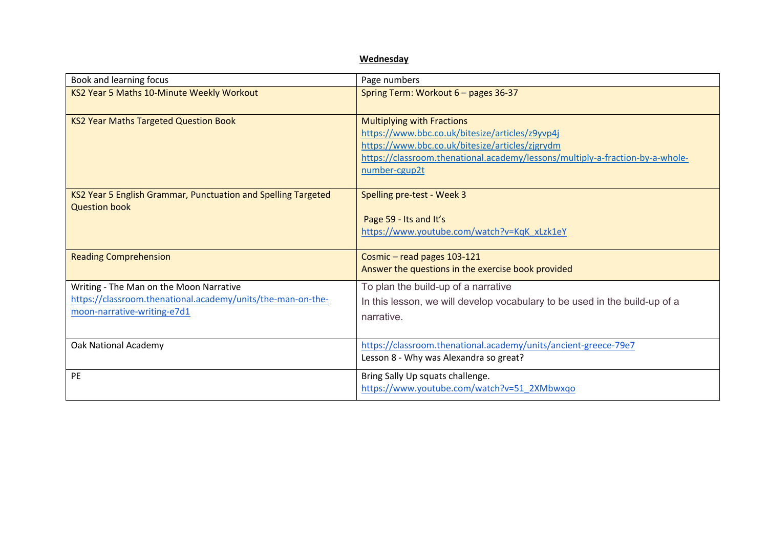|                                                                                            | Wednesday                                                                                                                                                                                                                                 |
|--------------------------------------------------------------------------------------------|-------------------------------------------------------------------------------------------------------------------------------------------------------------------------------------------------------------------------------------------|
| Book and learning focus                                                                    | Page numbers                                                                                                                                                                                                                              |
| KS2 Year 5 Maths 10-Minute Weekly Workout                                                  | Spring Term: Workout 6 - pages 36-37                                                                                                                                                                                                      |
| <b>KS2 Year Maths Targeted Question Book</b>                                               | <b>Multiplying with Fractions</b><br>https://www.bbc.co.uk/bitesize/articles/z9yvp4j<br>https://www.bbc.co.uk/bitesize/articles/zjgrydm<br>https://classroom.thenational.academy/lessons/multiply-a-fraction-by-a-whole-<br>number-cgup2t |
| KS2 Year 5 English Grammar, Punctuation and Spelling Targeted<br><b>Question book</b>      | Spelling pre-test - Week 3<br>Page 59 - Its and It's<br>https://www.youtube.com/watch?v=KqK_xLzk1eY                                                                                                                                       |
| <b>Reading Comprehension</b>                                                               | Cosmic - read pages 103-121<br>Answer the questions in the exercise book provided                                                                                                                                                         |
| Writing - The Man on the Moon Narrative                                                    | To plan the build-up of a narrative                                                                                                                                                                                                       |
| https://classroom.thenational.academy/units/the-man-on-the-<br>moon-narrative-writing-e7d1 | In this lesson, we will develop vocabulary to be used in the build-up of a<br>narrative.                                                                                                                                                  |
| <b>Oak National Academy</b>                                                                | https://classroom.thenational.academy/units/ancient-greece-79e7<br>Lesson 8 - Why was Alexandra so great?                                                                                                                                 |
| <b>PE</b>                                                                                  | Bring Sally Up squats challenge.<br>https://www.youtube.com/watch?v=51_2XMbwxqo                                                                                                                                                           |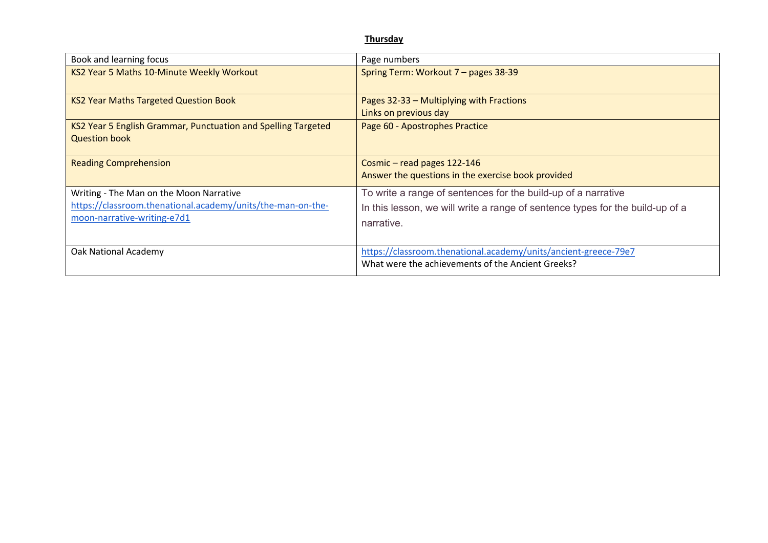### **Thursday**

| Book and learning focus                                                                                                               | Page numbers                                                                                                                                                 |
|---------------------------------------------------------------------------------------------------------------------------------------|--------------------------------------------------------------------------------------------------------------------------------------------------------------|
| KS2 Year 5 Maths 10-Minute Weekly Workout                                                                                             | Spring Term: Workout 7 - pages 38-39                                                                                                                         |
| <b>KS2 Year Maths Targeted Question Book</b>                                                                                          | Pages 32-33 - Multiplying with Fractions<br>Links on previous day                                                                                            |
| KS2 Year 5 English Grammar, Punctuation and Spelling Targeted<br><b>Question book</b>                                                 | Page 60 - Apostrophes Practice                                                                                                                               |
| <b>Reading Comprehension</b>                                                                                                          | Cosmic - read pages 122-146<br>Answer the questions in the exercise book provided                                                                            |
| Writing - The Man on the Moon Narrative<br>https://classroom.thenational.academy/units/the-man-on-the-<br>moon-narrative-writing-e7d1 | To write a range of sentences for the build-up of a narrative<br>In this lesson, we will write a range of sentence types for the build-up of a<br>narrative. |
| Oak National Academy                                                                                                                  | https://classroom.thenational.academy/units/ancient-greece-79e7<br>What were the achievements of the Ancient Greeks?                                         |